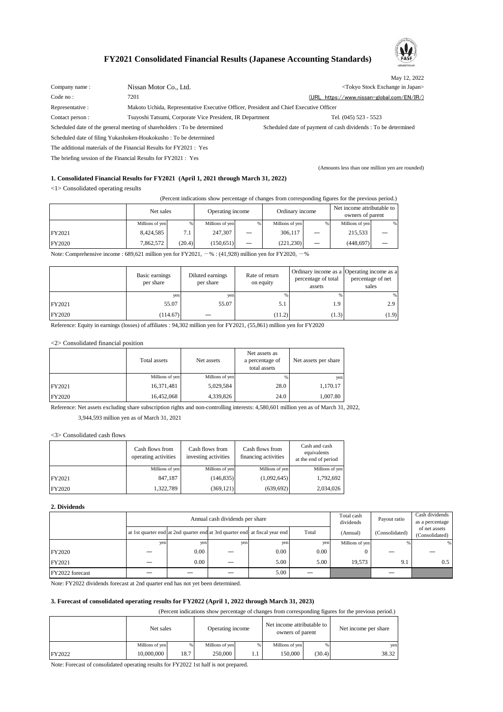

### **FY2021 Consolidated Financial Results (Japanese Accounting Standards)**

|                                                                    |                                                                                        | May 12, 2022                                                   |  |  |  |  |
|--------------------------------------------------------------------|----------------------------------------------------------------------------------------|----------------------------------------------------------------|--|--|--|--|
| Company name:                                                      | Nissan Motor Co., Ltd.                                                                 | <tokyo exchange="" in="" japan="" stock=""></tokyo>            |  |  |  |  |
| Code no:                                                           | 7201                                                                                   | (URL https://www.nissan-global.com/EN/IR/)                     |  |  |  |  |
| Representative :                                                   | Makoto Uchida, Representative Executive Officer, President and Chief Executive Officer |                                                                |  |  |  |  |
| Contact person :                                                   | Tsuyoshi Tatsumi, Corporate Vice President, IR Department                              | Tel. (045) 523 - 5523                                          |  |  |  |  |
|                                                                    | Scheduled date of the general meeting of shareholders : To be determined               | Scheduled date of payment of cash dividends : To be determined |  |  |  |  |
| Scheduled date of filing Yukashoken-Houkokusho: To be determined   |                                                                                        |                                                                |  |  |  |  |
| The additional materials of the Financial Results for FY2021 : Yes |                                                                                        |                                                                |  |  |  |  |

The briefing session of the Financial Results for FY2021 : Yes

(Amounts less than one million yen are rounded)

#### **1. Consolidated Financial Results for FY2021 (April 1, 2021 through March 31, 2022)**

<1> Consolidated operating results

(Percent indications show percentage of changes from corresponding figures for the previous period.)

|        | Net sales       |        | Operating income |  | Ordinary income |  | Net income attributable to<br>owners of parent |   |
|--------|-----------------|--------|------------------|--|-----------------|--|------------------------------------------------|---|
|        | Millions of yen | %      | Millions of yen  |  | Millions of yen |  | Millions of yen                                | % |
| FY2021 | 8,424,585       | 7.1    | 247,307          |  | 306,117         |  | 215,533                                        |   |
| FY2020 | 7,862,572       | (20.4) | (150.651)        |  | (221, 230)      |  | (448, 697)                                     |   |

Note: Comprehensive income : 689,621 million yen for FY2021,  $-\%$  : (41,928) million yen for FY2020,  $-\%$ 

|               | Basic earnings<br>per share | Diluted earnings<br>per share | Rate of return<br>on equity | percentage of total<br>assets | Ordinary income as a Operating income as a<br>percentage of net<br>sales |
|---------------|-----------------------------|-------------------------------|-----------------------------|-------------------------------|--------------------------------------------------------------------------|
|               | ven                         | yen                           |                             | $\frac{9}{6}$                 | %                                                                        |
| FY2021        | 55.07                       | 55.07                         | 5.1                         | 1.9                           | 2.9                                                                      |
| <b>FY2020</b> | (114.67)                    |                               | (11.2)                      | (1.3)                         | (1.9)                                                                    |

Reference: Equity in earnings (losses) of affiliates : 94,302 million yen for FY2021, (55,861) million yen for FY2020

<2> Consolidated financial position

|        | Total assets    | Net assets      | Net assets as<br>a percentage of<br>total assets | Net assets per share |  |
|--------|-----------------|-----------------|--------------------------------------------------|----------------------|--|
|        | Millions of yen | Millions of yen |                                                  | yen                  |  |
| FY2021 | 16,371,481      | 5,029,584       | 28.0                                             | 1,170.17             |  |
| FY2020 | 16,452,068      | 4,339,826       | 24.0                                             | 1,007.80             |  |

Reference: Net assets excluding share subscription rights and non-controlling interests: 4,580,601 million yen as of March 31, 2022, 3,944,593 million yen as of March 31, 2021

<3> Consolidated cash flows

|        | Cash flows from<br>operating activities | Cash flows from<br>investing activities | Cash flows from<br>financing activities | Cash and cash<br>equivalents<br>at the end of period |
|--------|-----------------------------------------|-----------------------------------------|-----------------------------------------|------------------------------------------------------|
|        | Millions of yen                         | Millions of yen                         | Millions of yen                         | Millions of yen                                      |
| FY2021 | 847,187                                 | (146, 835)                              | (1,092,645)                             | 1,792,692                                            |
| FY2020 | 1,322,789                               | (369, 121)                              | (639, 692)                              | 2,034,026                                            |

**2. Dividends**

| Annual cash dividends per share |                                                                             |      |     |      |       | Total cash<br>dividends | Payout ratio   | Cash dividends<br>as a percentage |
|---------------------------------|-----------------------------------------------------------------------------|------|-----|------|-------|-------------------------|----------------|-----------------------------------|
|                                 | at 1st quarter end at 2nd quarter end at 3rd quarter end at fiscal year end |      |     |      | Total | (Annual)                | (Consolidated) | of net assets<br>(Consolidated)   |
|                                 | yen                                                                         | yen  | yen | yen  | yen   | Millions of yen         |                | %                                 |
| <b>FY2020</b>                   |                                                                             | 0.00 |     | 0.00 | 0.00  |                         |                |                                   |
| FY2021                          |                                                                             | 0.00 |     | 5.00 | 5.00  | 19.573                  | 9.1            | 0.5                               |
| FY2022 forecast                 |                                                                             |      |     | 5.00 |       |                         |                |                                   |

Note: FY2022 dividends forecast at 2nd quarter end has not yet been determined.

#### **3. Forecast of consolidated operating results for FY2022 (April 1, 2022 through March 31, 2023)**

(Percent indications show percentage of changes from corresponding figures for the previous period.)

|        | Net sales       |      | Operating income |     | Net income attributable to<br>owners of parent |        | Net income per share |  |
|--------|-----------------|------|------------------|-----|------------------------------------------------|--------|----------------------|--|
|        | Millions of yen | %    | Millions of yen  |     | Millions of yen                                | %      | yer                  |  |
| FY2022 | 10,000,000      | 18.7 | 250,000          | l.1 | 150,000                                        | (30.4) | 38.32                |  |

Note: Forecast of consolidated operating results for FY2022 1st half is not prepared.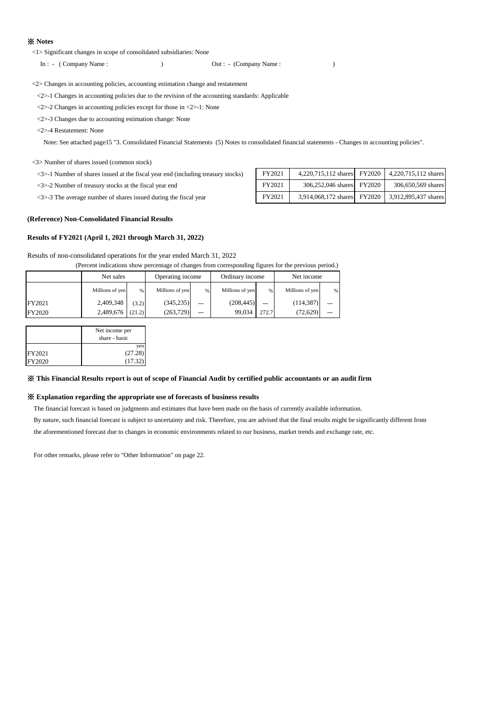#### ※ **Notes**

<1> Significant changes in scope of consolidated subsidiaries: None

In : - (Company Name : ) Out : - (Company Name : )

<2> Changes in accounting policies, accounting estimation change and restatement

<2>-1 Changes in accounting policies due to the revision of the accounting standards: Applicable

<2>-2 Changes in accounting policies except for those in <2>-1: None

<2>-3 Changes due to accounting estimation change: None

<2>-4 Restatement: None

Note: See attached page15 "3. Consolidated Financial Statements (5) Notes to consolidated financial statements - Changes in accounting policies".

<3> Number of shares issued (common stock)

<3>-1 Number of shares issued at the fiscal year end (including treasury stocks)

<3>-2 Number of treasury stocks at the fiscal year end

<3>-3 The average number of shares issued during the fiscal year

#### **(Reference) Non-Consolidated Financial Results**

#### **Results of FY2021 (April 1, 2021 through March 31, 2022)**

Results of non-consolidated operations for the year ended March 31, 2022 (Percent indications show percentage of changes from corresponding figures for the previous period.)

|               | Net sales       |        | Operating income |   | Ordinary income |       | Net income      |   |
|---------------|-----------------|--------|------------------|---|-----------------|-------|-----------------|---|
|               | Millions of yen | %      | Millions of yen  | % | Millions of yen | %     | Millions of yen | % |
| FY2021        | 2,409,348       | (3.2)  | (345, 235)       |   | (208, 445)      |       | (114, 387)      |   |
| <b>FY2020</b> | 2,489,676       | (21.2) | (263, 729)       |   | 99,034          | 272.7 | (72, 629)       |   |

|        | Net income per<br>share - basic |
|--------|---------------------------------|
|        | ven                             |
| FY2021 | (27.28)                         |
| FY2020 | (17.32)                         |

#### ※ **This Financial Results report is out of scope of Financial Audit by certified public accountants or an audit firm**

#### ※ **Explanation regarding the appropriate use of forecasts of business results**

The financial forecast is based on judgments and estimates that have been made on the basis of currently available information.

By nature, such financial forecast is subject to uncertainty and risk. Therefore, you are advised that the final results might be significantly different from the aforementioned forecast due to changes in economic environments related to our business, market trends and exchange rate, etc.

For other remarks, please refer to "Other Information" on page 22.

| FY2021 | 4,220,715,112 shares FY2020 | 4,220,715,112 shares |
|--------|-----------------------------|----------------------|
| FY2021 | 306,252,046 shares FY2020   | 306,650,569 shares   |
| FY2021 | 3,914,068,172 shares FY2020 | 3,912,895,437 shares |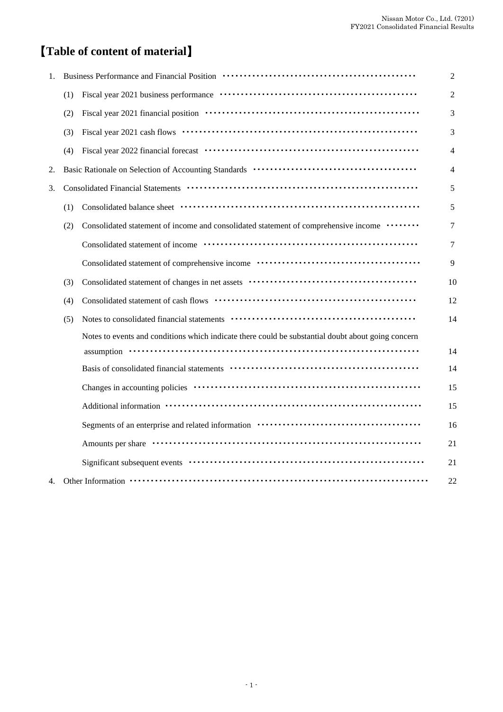# 【**Table of content of material**】

| 1. |     | Business Performance and Financial Position (100) (100) (100) (100) (100) (100) (100) (100) (100) (100) (100) (100) (100) (100) (100) (100) (100) (100) (100) (100) (100) (100) (100) (100) (100) (100) (100) (100) (100) (100 | $\mathbf{2}$   |
|----|-----|--------------------------------------------------------------------------------------------------------------------------------------------------------------------------------------------------------------------------------|----------------|
|    | (1) | Fiscal year 2021 business performance (and the context of the set of the set of the set of the set of the set of the set of the set of the set of the set of the set of the set of the set of the set of the set of the set of | $\overline{2}$ |
|    | (2) |                                                                                                                                                                                                                                | 3              |
|    | (3) |                                                                                                                                                                                                                                | 3              |
|    | (4) |                                                                                                                                                                                                                                | $\overline{4}$ |
| 2. |     | Basic Rationale on Selection of Accounting Standards (and account of the Selection of Accounting Standards)                                                                                                                    | 4              |
| 3. |     |                                                                                                                                                                                                                                | 5              |
|    | (1) |                                                                                                                                                                                                                                | 5              |
|    | (2) | Consolidated statement of income and consolidated statement of comprehensive income ········                                                                                                                                   | 7              |
|    |     |                                                                                                                                                                                                                                | 7              |
|    |     |                                                                                                                                                                                                                                | 9              |
|    | (3) |                                                                                                                                                                                                                                | 10             |
|    | (4) |                                                                                                                                                                                                                                | 12             |
|    | (5) |                                                                                                                                                                                                                                | 14             |
|    |     | Notes to events and conditions which indicate there could be substantial doubt about going concern                                                                                                                             |                |
|    |     |                                                                                                                                                                                                                                | 14             |
|    |     |                                                                                                                                                                                                                                | 14             |
|    |     | Changes in accounting policies (and accounting contact of the set of the set of the set of the set of the set of the set of the set of the set of the set of the set of the set of the set of the set of the set of the set of | 15             |
|    |     |                                                                                                                                                                                                                                | 15             |
|    |     |                                                                                                                                                                                                                                | 16             |
|    |     |                                                                                                                                                                                                                                | 21             |
|    |     |                                                                                                                                                                                                                                | 21             |
| 4. |     |                                                                                                                                                                                                                                | 22             |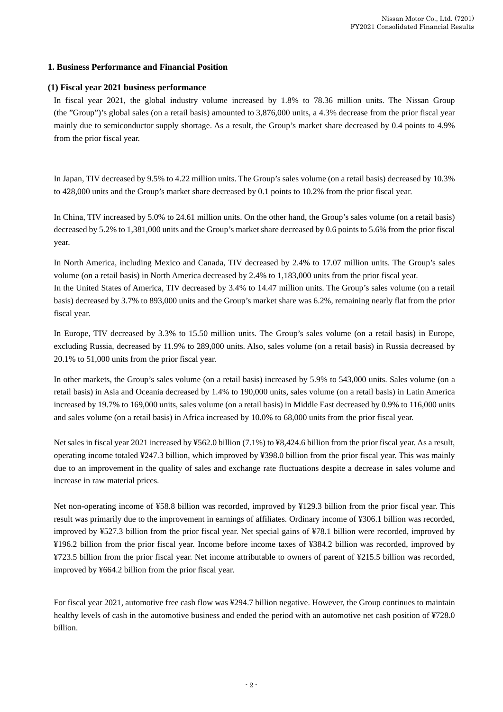### **1. Business Performance and Financial Position**

### **(1) Fiscal year 2021 business performance**

In fiscal year 2021, the global industry volume increased by 1.8% to 78.36 million units. The Nissan Group (the "Group")'s global sales (on a retail basis) amounted to 3,876,000 units, a 4.3% decrease from the prior fiscal year mainly due to semiconductor supply shortage. As a result, the Group's market share decreased by 0.4 points to 4.9% from the prior fiscal year.

In Japan, TIV decreased by 9.5% to 4.22 million units. The Group's sales volume (on a retail basis) decreased by 10.3% to 428,000 units and the Group's market share decreased by 0.1 points to 10.2% from the prior fiscal year.

In China, TIV increased by 5.0% to 24.61 million units. On the other hand, the Group's sales volume (on a retail basis) decreased by 5.2% to 1,381,000 units and the Group's market share decreased by 0.6 points to 5.6% from the prior fiscal year.

In North America, including Mexico and Canada, TIV decreased by 2.4% to 17.07 million units. The Group's sales volume (on a retail basis) in North America decreased by 2.4% to 1,183,000 units from the prior fiscal year. In the United States of America, TIV decreased by 3.4% to 14.47 million units. The Group's sales volume (on a retail basis) decreased by 3.7% to 893,000 units and the Group's market share was 6.2%, remaining nearly flat from the prior fiscal year.

In Europe, TIV decreased by 3.3% to 15.50 million units. The Group's sales volume (on a retail basis) in Europe, excluding Russia, decreased by 11.9% to 289,000 units. Also, sales volume (on a retail basis) in Russia decreased by 20.1% to 51,000 units from the prior fiscal year.

In other markets, the Group's sales volume (on a retail basis) increased by 5.9% to 543,000 units. Sales volume (on a retail basis) in Asia and Oceania decreased by 1.4% to 190,000 units, sales volume (on a retail basis) in Latin America increased by 19.7% to 169,000 units, sales volume (on a retail basis) in Middle East decreased by 0.9% to 116,000 units and sales volume (on a retail basis) in Africa increased by 10.0% to 68,000 units from the prior fiscal year.

Net sales in fiscal year 2021 increased by ¥562.0 billion (7.1%) to ¥8,424.6 billion from the prior fiscal year. As a result, operating income totaled ¥247.3 billion, which improved by ¥398.0 billion from the prior fiscal year. This was mainly due to an improvement in the quality of sales and exchange rate fluctuations despite a decrease in sales volume and increase in raw material prices.

Net non-operating income of ¥58.8 billion was recorded, improved by ¥129.3 billion from the prior fiscal year. This result was primarily due to the improvement in earnings of affiliates. Ordinary income of ¥306.1 billion was recorded, improved by ¥527.3 billion from the prior fiscal year. Net special gains of ¥78.1 billion were recorded, improved by ¥196.2 billion from the prior fiscal year. Income before income taxes of ¥384.2 billion was recorded, improved by ¥723.5 billion from the prior fiscal year. Net income attributable to owners of parent of ¥215.5 billion was recorded, improved by ¥664.2 billion from the prior fiscal year.

For fiscal year 2021, automotive free cash flow was ¥294.7 billion negative. However, the Group continues to maintain healthy levels of cash in the automotive business and ended the period with an automotive net cash position of ¥728.0 billion.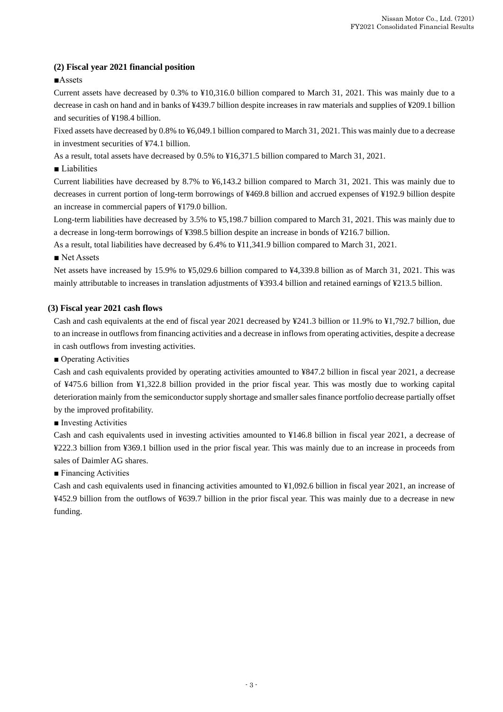# **(2) Fiscal year 2021 financial position**

### ■Assets

Current assets have decreased by 0.3% to ¥10,316.0 billion compared to March 31, 2021. This was mainly due to a decrease in cash on hand and in banks of ¥439.7 billion despite increases in raw materials and supplies of ¥209.1 billion and securities of ¥198.4 billion.

Fixed assets have decreased by 0.8% to ¥6,049.1 billion compared to March 31, 2021. This was mainly due to a decrease in investment securities of ¥74.1 billion.

As a result, total assets have decreased by 0.5% to ¥16,371.5 billion compared to March 31, 2021.

■ Liabilities

Current liabilities have decreased by 8.7% to ¥6,143.2 billion compared to March 31, 2021. This was mainly due to decreases in current portion of long-term borrowings of ¥469.8 billion and accrued expenses of ¥192.9 billion despite an increase in commercial papers of ¥179.0 billion.

Long-term liabilities have decreased by 3.5% to ¥5,198.7 billion compared to March 31, 2021. This was mainly due to a decrease in long-term borrowings of ¥398.5 billion despite an increase in bonds of ¥216.7 billion.

As a result, total liabilities have decreased by 6.4% to ¥11,341.9 billion compared to March 31, 2021.

■ Net Assets

Net assets have increased by 15.9% to ¥5,029.6 billion compared to ¥4,339.8 billion as of March 31, 2021. This was mainly attributable to increases in translation adjustments of ¥393.4 billion and retained earnings of ¥213.5 billion.

### **(3) Fiscal year 2021 cash flows**

Cash and cash equivalents at the end of fiscal year 2021 decreased by ¥241.3 billion or 11.9% to ¥1,792.7 billion, due to an increase in outflows from financing activities and a decrease in inflows from operating activities, despite a decrease in cash outflows from investing activities.

■ Operating Activities

Cash and cash equivalents provided by operating activities amounted to ¥847.2 billion in fiscal year 2021, a decrease of ¥475.6 billion from ¥1,322.8 billion provided in the prior fiscal year. This was mostly due to working capital deterioration mainly from the semiconductor supply shortage and smaller sales finance portfolio decrease partially offset by the improved profitability.

■ Investing Activities

Cash and cash equivalents used in investing activities amounted to ¥146.8 billion in fiscal year 2021, a decrease of ¥222.3 billion from ¥369.1 billion used in the prior fiscal year. This was mainly due to an increase in proceeds from sales of Daimler AG shares.

■ Financing Activities

Cash and cash equivalents used in financing activities amounted to  $\frac{1}{2}1,092.6$  billion in fiscal year 2021, an increase of ¥452.9 billion from the outflows of ¥639.7 billion in the prior fiscal year. This was mainly due to a decrease in new funding.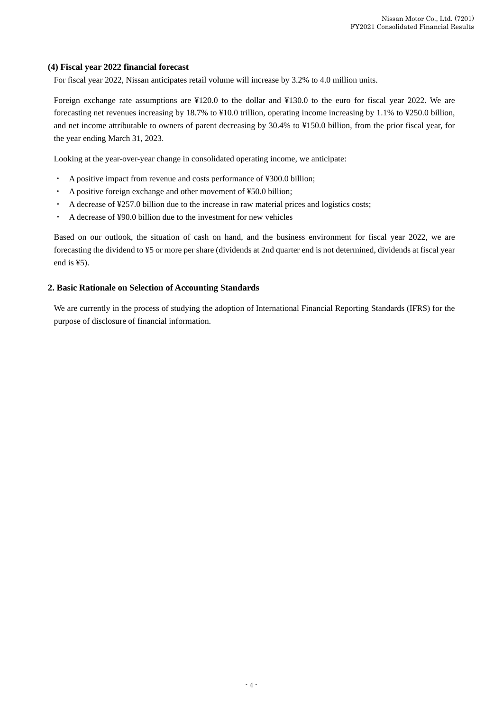### **(4) Fiscal year 2022 financial forecast**

For fiscal year 2022, Nissan anticipates retail volume will increase by 3.2% to 4.0 million units.

Foreign exchange rate assumptions are ¥120.0 to the dollar and ¥130.0 to the euro for fiscal year 2022. We are forecasting net revenues increasing by 18.7% to ¥10.0 trillion, operating income increasing by 1.1% to ¥250.0 billion, and net income attributable to owners of parent decreasing by 30.4% to ¥150.0 billion, from the prior fiscal year, for the year ending March 31, 2023.

Looking at the year-over-year change in consolidated operating income, we anticipate:

- ・ A positive impact from revenue and costs performance of ¥300.0 billion;
- ・ A positive foreign exchange and other movement of ¥50.0 billion;
- ・ A decrease of ¥257.0 billion due to the increase in raw material prices and logistics costs;
- A decrease of ¥90.0 billion due to the investment for new vehicles

Based on our outlook, the situation of cash on hand, and the business environment for fiscal year 2022, we are forecasting the dividend to ¥5 or more per share (dividends at 2nd quarter end is not determined, dividends at fiscal year end is ¥5).

### **2. Basic Rationale on Selection of Accounting Standards**

We are currently in the process of studying the adoption of International Financial Reporting Standards (IFRS) for the purpose of disclosure of financial information.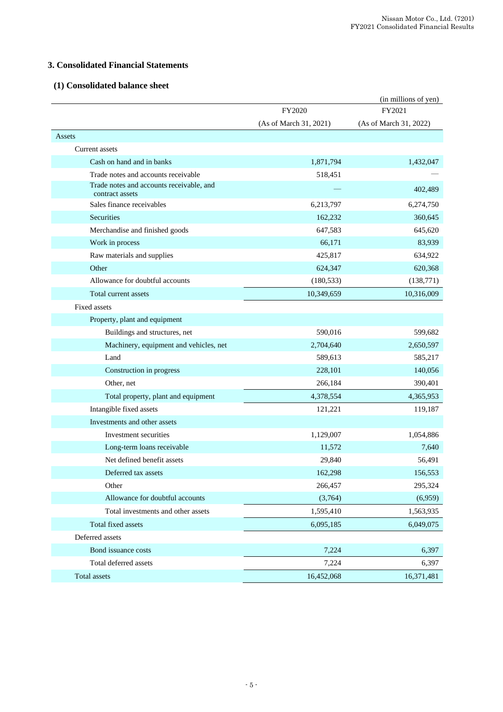## **3. Consolidated Financial Statements**

# **(1) Consolidated balance sheet**

|                                                             |                        | (in millions of yen)   |
|-------------------------------------------------------------|------------------------|------------------------|
|                                                             | FY2020                 | FY2021                 |
|                                                             | (As of March 31, 2021) | (As of March 31, 2022) |
| <b>Assets</b>                                               |                        |                        |
| Current assets                                              |                        |                        |
| Cash on hand and in banks                                   | 1,871,794              | 1,432,047              |
| Trade notes and accounts receivable                         | 518,451                |                        |
| Trade notes and accounts receivable, and<br>contract assets |                        | 402,489                |
| Sales finance receivables                                   | 6,213,797              | 6,274,750              |
| Securities                                                  | 162,232                | 360,645                |
| Merchandise and finished goods                              | 647,583                | 645,620                |
| Work in process                                             | 66,171                 | 83,939                 |
| Raw materials and supplies                                  | 425,817                | 634,922                |
| Other                                                       | 624,347                | 620,368                |
| Allowance for doubtful accounts                             | (180, 533)             | (138, 771)             |
| Total current assets                                        | 10,349,659             | 10,316,009             |
| Fixed assets                                                |                        |                        |
| Property, plant and equipment                               |                        |                        |
| Buildings and structures, net                               | 590,016                | 599,682                |
| Machinery, equipment and vehicles, net                      | 2,704,640              | 2,650,597              |
| Land                                                        | 589,613                | 585,217                |
| Construction in progress                                    | 228,101                | 140,056                |
| Other, net                                                  | 266,184                | 390,401                |
| Total property, plant and equipment                         | 4,378,554              | 4,365,953              |
| Intangible fixed assets                                     | 121,221                | 119,187                |
| Investments and other assets                                |                        |                        |
| Investment securities                                       | 1,129,007              | 1,054,886              |
| Long-term loans receivable                                  | 11,572                 | 7,640                  |
| Net defined benefit assets                                  | 29,840                 | 56,491                 |
| Deferred tax assets                                         | 162,298                | 156,553                |
| Other                                                       | 266,457                | 295,324                |
| Allowance for doubtful accounts                             | (3,764)                | (6,959)                |
| Total investments and other assets                          | 1,595,410              | 1,563,935              |
| Total fixed assets                                          | 6,095,185              | 6,049,075              |
| Deferred assets                                             |                        |                        |
| Bond issuance costs                                         | 7,224                  | 6,397                  |
| Total deferred assets                                       | 7,224                  | 6,397                  |
| Total assets                                                | 16,452,068             | 16,371,481             |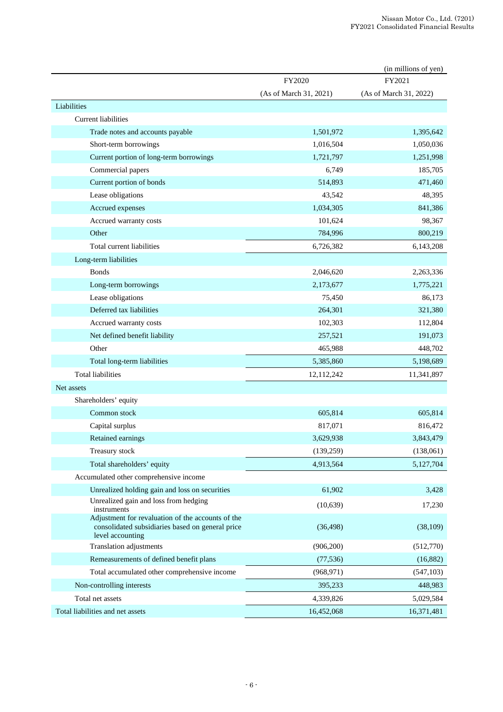|                                                                                                                           |                        | (in millions of yen)   |
|---------------------------------------------------------------------------------------------------------------------------|------------------------|------------------------|
|                                                                                                                           | FY2020                 | FY2021                 |
|                                                                                                                           | (As of March 31, 2021) | (As of March 31, 2022) |
| Liabilities                                                                                                               |                        |                        |
| <b>Current liabilities</b>                                                                                                |                        |                        |
| Trade notes and accounts payable                                                                                          | 1,501,972              | 1,395,642              |
| Short-term borrowings                                                                                                     | 1,016,504              | 1,050,036              |
| Current portion of long-term borrowings                                                                                   | 1,721,797              | 1,251,998              |
| Commercial papers                                                                                                         | 6,749                  | 185,705                |
| Current portion of bonds                                                                                                  | 514,893                | 471,460                |
| Lease obligations                                                                                                         | 43,542                 | 48,395                 |
| Accrued expenses                                                                                                          | 1,034,305              | 841,386                |
| Accrued warranty costs                                                                                                    | 101,624                | 98,367                 |
| Other                                                                                                                     | 784,996                | 800,219                |
| Total current liabilities                                                                                                 | 6,726,382              | 6,143,208              |
| Long-term liabilities                                                                                                     |                        |                        |
| <b>Bonds</b>                                                                                                              | 2,046,620              | 2,263,336              |
| Long-term borrowings                                                                                                      | 2,173,677              | 1,775,221              |
| Lease obligations                                                                                                         | 75,450                 | 86,173                 |
| Deferred tax liabilities                                                                                                  | 264,301                | 321,380                |
| Accrued warranty costs                                                                                                    | 102,303                | 112,804                |
| Net defined benefit liability                                                                                             | 257,521                | 191,073                |
| Other                                                                                                                     | 465,988                | 448,702                |
| Total long-term liabilities                                                                                               | 5,385,860              | 5,198,689              |
| <b>Total liabilities</b>                                                                                                  | 12,112,242             | 11,341,897             |
| Net assets                                                                                                                |                        |                        |
| Shareholders' equity                                                                                                      |                        |                        |
| Common stock                                                                                                              | 605,814                | 605,814                |
| Capital surplus                                                                                                           | 817,071                | 816,472                |
| Retained earnings                                                                                                         | 3,629,938              | 3,843,479              |
| Treasury stock                                                                                                            | (139, 259)             | (138,061)              |
| Total shareholders' equity                                                                                                | 4,913,564              | 5,127,704              |
| Accumulated other comprehensive income                                                                                    |                        |                        |
| Unrealized holding gain and loss on securities                                                                            | 61,902                 | 3,428                  |
| Unrealized gain and loss from hedging<br>instruments                                                                      | (10, 639)              | 17,230                 |
| Adjustment for revaluation of the accounts of the<br>consolidated subsidiaries based on general price<br>level accounting | (36, 498)              | (38, 109)              |
| Translation adjustments                                                                                                   | (906, 200)             | (512,770)              |
| Remeasurements of defined benefit plans                                                                                   | (77, 536)              | (16,882)               |
| Total accumulated other comprehensive income                                                                              | (968, 971)             | (547, 103)             |
| Non-controlling interests                                                                                                 | 395,233                | 448,983                |
| Total net assets                                                                                                          | 4,339,826              | 5,029,584              |
| Total liabilities and net assets                                                                                          | 16,452,068             | 16,371,481             |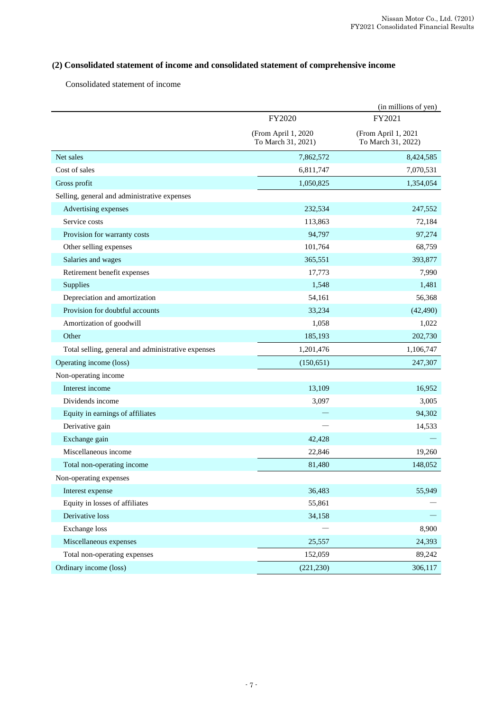# **(2) Consolidated statement of income and consolidated statement of comprehensive income**

Consolidated statement of income

|                                                    | (in millions of yen)                      |                                           |  |  |  |
|----------------------------------------------------|-------------------------------------------|-------------------------------------------|--|--|--|
|                                                    | FY2020                                    | FY2021                                    |  |  |  |
|                                                    | (From April 1, 2020<br>To March 31, 2021) | (From April 1, 2021<br>To March 31, 2022) |  |  |  |
| Net sales                                          | 7,862,572                                 | 8,424,585                                 |  |  |  |
| Cost of sales                                      | 6,811,747                                 | 7,070,531                                 |  |  |  |
| Gross profit                                       | 1,050,825                                 | 1,354,054                                 |  |  |  |
| Selling, general and administrative expenses       |                                           |                                           |  |  |  |
| Advertising expenses                               | 232,534                                   | 247,552                                   |  |  |  |
| Service costs                                      | 113,863                                   | 72,184                                    |  |  |  |
| Provision for warranty costs                       | 94,797                                    | 97,274                                    |  |  |  |
| Other selling expenses                             | 101,764                                   | 68,759                                    |  |  |  |
| Salaries and wages                                 | 365,551                                   | 393,877                                   |  |  |  |
| Retirement benefit expenses                        | 17,773                                    | 7,990                                     |  |  |  |
| Supplies                                           | 1,548                                     | 1,481                                     |  |  |  |
| Depreciation and amortization                      | 54,161                                    | 56,368                                    |  |  |  |
| Provision for doubtful accounts                    | 33,234                                    | (42, 490)                                 |  |  |  |
| Amortization of goodwill                           | 1,058                                     | 1,022                                     |  |  |  |
| Other                                              | 185,193                                   | 202,730                                   |  |  |  |
| Total selling, general and administrative expenses | 1,201,476                                 | 1,106,747                                 |  |  |  |
| Operating income (loss)                            | (150,651)                                 | 247,307                                   |  |  |  |
| Non-operating income                               |                                           |                                           |  |  |  |
| Interest income                                    | 13,109                                    | 16,952                                    |  |  |  |
| Dividends income                                   | 3,097                                     | 3,005                                     |  |  |  |
| Equity in earnings of affiliates                   |                                           | 94,302                                    |  |  |  |
| Derivative gain                                    |                                           | 14,533                                    |  |  |  |
| Exchange gain                                      | 42,428                                    |                                           |  |  |  |
| Miscellaneous income                               | 22,846                                    | 19,260                                    |  |  |  |
| Total non-operating income                         | 81,480                                    | 148,052                                   |  |  |  |
| Non-operating expenses                             |                                           |                                           |  |  |  |
| Interest expense                                   | 36,483                                    | 55,949                                    |  |  |  |
| Equity in losses of affiliates                     | 55,861                                    |                                           |  |  |  |
| Derivative loss                                    | 34,158                                    |                                           |  |  |  |
| <b>Exchange</b> loss                               |                                           | 8,900                                     |  |  |  |
| Miscellaneous expenses                             | 25,557                                    | 24,393                                    |  |  |  |
| Total non-operating expenses                       | 152,059                                   | 89,242                                    |  |  |  |
| Ordinary income (loss)                             | (221, 230)                                | 306,117                                   |  |  |  |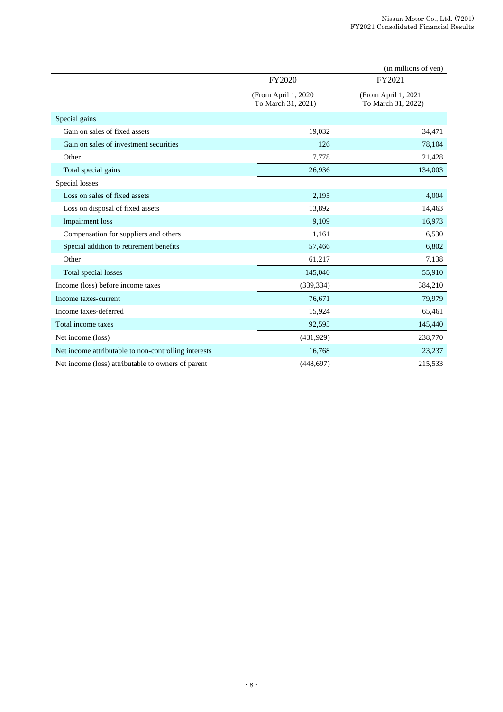|                                                      |                                            | (in millions of yen)                      |
|------------------------------------------------------|--------------------------------------------|-------------------------------------------|
|                                                      | FY2020                                     | FY2021                                    |
|                                                      | (From April 1, 2020)<br>To March 31, 2021) | (From April 1, 2021<br>To March 31, 2022) |
| Special gains                                        |                                            |                                           |
| Gain on sales of fixed assets                        | 19,032                                     | 34,471                                    |
| Gain on sales of investment securities               | 126                                        | 78,104                                    |
| Other                                                | 7,778                                      | 21,428                                    |
| Total special gains                                  | 26,936                                     | 134,003                                   |
| Special losses                                       |                                            |                                           |
| Loss on sales of fixed assets                        | 2,195                                      | 4,004                                     |
| Loss on disposal of fixed assets                     | 13,892                                     | 14,463                                    |
| Impairment loss                                      | 9,109                                      | 16,973                                    |
| Compensation for suppliers and others                | 1,161                                      | 6,530                                     |
| Special addition to retirement benefits              | 57,466                                     | 6,802                                     |
| Other                                                | 61,217                                     | 7,138                                     |
| Total special losses                                 | 145,040                                    | 55,910                                    |
| Income (loss) before income taxes                    | (339, 334)                                 | 384,210                                   |
| Income taxes-current                                 | 76,671                                     | 79,979                                    |
| Income taxes-deferred                                | 15,924                                     | 65,461                                    |
| Total income taxes                                   | 92,595                                     | 145,440                                   |
| Net income (loss)                                    | (431,929)                                  | 238,770                                   |
| Net income attributable to non-controlling interests | 16,768                                     | 23,237                                    |
| Net income (loss) attributable to owners of parent   | (448, 697)                                 | 215,533                                   |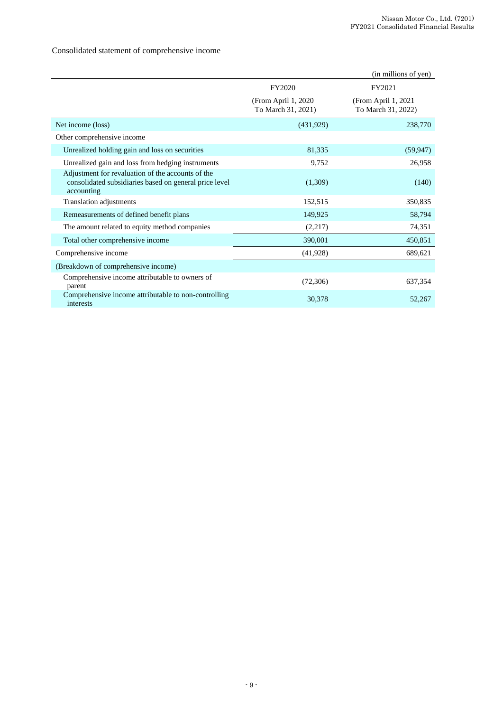# Consolidated statement of comprehensive income

|                                                                                                                           |                                                                                          | (in millions of yen) |
|---------------------------------------------------------------------------------------------------------------------------|------------------------------------------------------------------------------------------|----------------------|
|                                                                                                                           | FY2020                                                                                   | FY2021               |
|                                                                                                                           | (From April 1, 2020)<br>(From April 1, 2021)<br>To March 31, 2021)<br>To March 31, 2022) |                      |
| Net income (loss)                                                                                                         | (431,929)                                                                                | 238,770              |
| Other comprehensive income                                                                                                |                                                                                          |                      |
| Unrealized holding gain and loss on securities                                                                            | 81,335                                                                                   | (59, 947)            |
| Unrealized gain and loss from hedging instruments                                                                         | 9,752                                                                                    | 26,958               |
| Adjustment for revaluation of the accounts of the<br>consolidated subsidiaries based on general price level<br>accounting | (1,309)                                                                                  | (140)                |
| Translation adjustments                                                                                                   | 152,515                                                                                  | 350,835              |
| Remeasurements of defined benefit plans                                                                                   | 149,925                                                                                  | 58,794               |
| The amount related to equity method companies                                                                             | (2,217)                                                                                  | 74,351               |
| Total other comprehensive income                                                                                          | 390,001                                                                                  | 450,851              |
| Comprehensive income                                                                                                      | (41,928)                                                                                 | 689,621              |
| (Breakdown of comprehensive income)                                                                                       |                                                                                          |                      |
| Comprehensive income attributable to owners of<br>parent                                                                  | (72,306)                                                                                 | 637,354              |
| Comprehensive income attributable to non-controlling<br>interests                                                         | 30,378                                                                                   | 52,267               |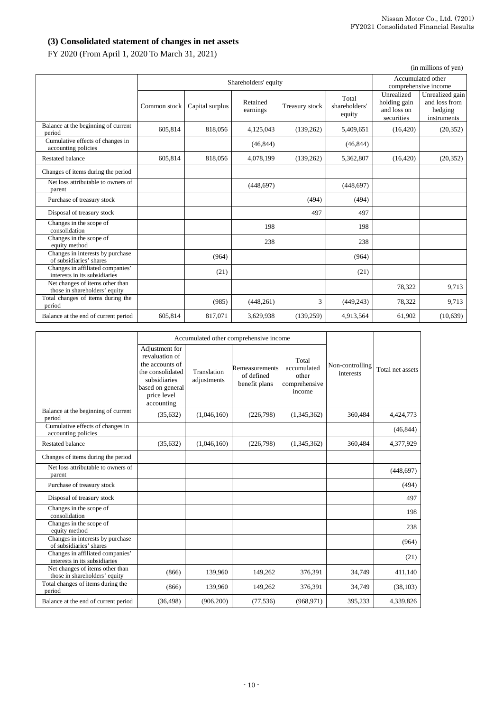# **(3) Consolidated statement of changes in net assets**

FY 2020 (From April 1, 2020 To March 31, 2021)

| (in millions of yen)                                              |              |                      |                      |                |                                  |                                                         |                                                            |  |
|-------------------------------------------------------------------|--------------|----------------------|----------------------|----------------|----------------------------------|---------------------------------------------------------|------------------------------------------------------------|--|
|                                                                   |              | Shareholders' equity |                      |                |                                  |                                                         | Accumulated other<br>comprehensive income                  |  |
|                                                                   | Common stock | Capital surplus      | Retained<br>earnings | Treasury stock | Total<br>shareholders'<br>equity | Unrealized<br>holding gain<br>and loss on<br>securities | Unrealized gain<br>and loss from<br>hedging<br>instruments |  |
| Balance at the beginning of current<br>period                     | 605,814      | 818,056              | 4,125,043            | (139, 262)     | 5,409,651                        | (16, 420)                                               | (20, 352)                                                  |  |
| Cumulative effects of changes in<br>accounting policies           |              |                      | (46, 844)            |                | (46, 844)                        |                                                         |                                                            |  |
| <b>Restated balance</b>                                           | 605,814      | 818,056              | 4,078,199            | (139,262)      | 5,362,807                        | (16, 420)                                               | (20, 352)                                                  |  |
| Changes of items during the period                                |              |                      |                      |                |                                  |                                                         |                                                            |  |
| Net loss attributable to owners of<br>parent                      |              |                      | (448, 697)           |                | (448, 697)                       |                                                         |                                                            |  |
| Purchase of treasury stock                                        |              |                      |                      | (494)          | (494)                            |                                                         |                                                            |  |
| Disposal of treasury stock                                        |              |                      |                      | 497            | 497                              |                                                         |                                                            |  |
| Changes in the scope of<br>consolidation                          |              |                      | 198                  |                | 198                              |                                                         |                                                            |  |
| Changes in the scope of<br>equity method                          |              |                      | 238                  |                | 238                              |                                                         |                                                            |  |
| Changes in interests by purchase<br>of subsidiaries' shares       |              | (964)                |                      |                | (964)                            |                                                         |                                                            |  |
| Changes in affiliated companies'<br>interests in its subsidiaries |              | (21)                 |                      |                | (21)                             |                                                         |                                                            |  |
| Net changes of items other than<br>those in shareholders' equity  |              |                      |                      |                |                                  | 78,322                                                  | 9,713                                                      |  |
| Total changes of items during the<br>period                       |              | (985)                | (448, 261)           | 3              | (449, 243)                       | 78,322                                                  | 9,713                                                      |  |
| Balance at the end of current period                              | 605,814      | 817,071              | 3,629,938            | (139, 259)     | 4,913,564                        | 61,902                                                  | (10, 639)                                                  |  |

|                                                                   | Accumulated other comprehensive income                                                                                                   |                            |                                               |                                                          |                              |                  |
|-------------------------------------------------------------------|------------------------------------------------------------------------------------------------------------------------------------------|----------------------------|-----------------------------------------------|----------------------------------------------------------|------------------------------|------------------|
|                                                                   | Adjustment for<br>revaluation of<br>the accounts of<br>the consolidated<br>subsidiaries<br>based on general<br>price level<br>accounting | Translation<br>adjustments | Remeasurements<br>of defined<br>benefit plans | Total<br>accumulated<br>other<br>comprehensive<br>income | Non-controlling<br>interests | Total net assets |
| Balance at the beginning of current<br>period                     | (35,632)                                                                                                                                 | (1,046,160)                | (226,798)                                     | (1,345,362)                                              | 360,484                      | 4,424,773        |
| Cumulative effects of changes in<br>accounting policies           |                                                                                                                                          |                            |                                               |                                                          |                              | (46, 844)        |
| <b>Restated balance</b>                                           | (35,632)                                                                                                                                 | (1,046,160)                | (226,798)                                     | (1,345,362)                                              | 360,484                      | 4,377,929        |
| Changes of items during the period                                |                                                                                                                                          |                            |                                               |                                                          |                              |                  |
| Net loss attributable to owners of<br>parent                      |                                                                                                                                          |                            |                                               |                                                          |                              | (448, 697)       |
| Purchase of treasury stock                                        |                                                                                                                                          |                            |                                               |                                                          |                              | (494)            |
| Disposal of treasury stock                                        |                                                                                                                                          |                            |                                               |                                                          |                              | 497              |
| Changes in the scope of<br>consolidation                          |                                                                                                                                          |                            |                                               |                                                          |                              | 198              |
| Changes in the scope of<br>equity method                          |                                                                                                                                          |                            |                                               |                                                          |                              | 238              |
| Changes in interests by purchase<br>of subsidiaries' shares       |                                                                                                                                          |                            |                                               |                                                          |                              | (964)            |
| Changes in affiliated companies'<br>interests in its subsidiaries |                                                                                                                                          |                            |                                               |                                                          |                              | (21)             |
| Net changes of items other than<br>those in shareholders' equity  | (866)                                                                                                                                    | 139,960                    | 149,262                                       | 376,391                                                  | 34,749                       | 411,140          |
| Total changes of items during the<br>period                       | (866)                                                                                                                                    | 139,960                    | 149,262                                       | 376,391                                                  | 34,749                       | (38, 103)        |
| Balance at the end of current period                              | (36, 498)                                                                                                                                | (906, 200)                 | (77, 536)                                     | (968, 971)                                               | 395,233                      | 4,339,826        |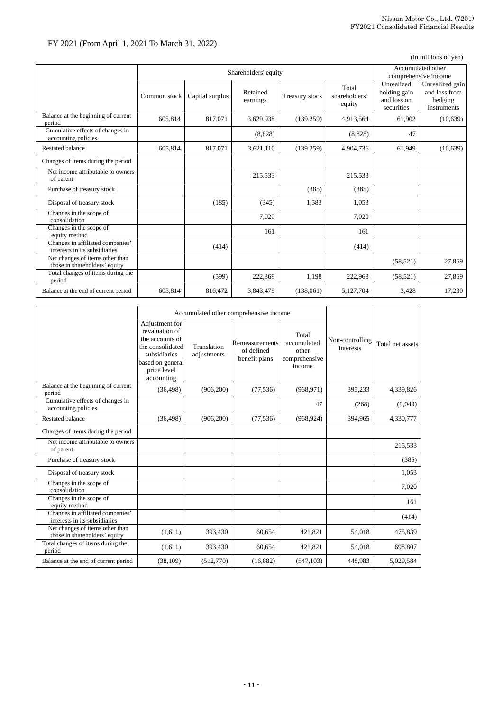| (in millions of yen)                                              |              |                 |                      |                |                                  |                                                         |                                                            |  |  |
|-------------------------------------------------------------------|--------------|-----------------|----------------------|----------------|----------------------------------|---------------------------------------------------------|------------------------------------------------------------|--|--|
|                                                                   |              |                 | Shareholders' equity |                |                                  |                                                         | Accumulated other<br>comprehensive income                  |  |  |
|                                                                   | Common stock | Capital surplus | Retained<br>earnings | Treasury stock | Total<br>shareholders'<br>equity | Unrealized<br>holding gain<br>and loss on<br>securities | Unrealized gain<br>and loss from<br>hedging<br>instruments |  |  |
| Balance at the beginning of current<br>period                     | 605,814      | 817,071         | 3,629,938            | (139, 259)     | 4,913,564                        | 61,902                                                  | (10,639)                                                   |  |  |
| Cumulative effects of changes in<br>accounting policies           |              |                 | (8,828)              |                | (8,828)                          | 47                                                      |                                                            |  |  |
| <b>Restated balance</b>                                           | 605,814      | 817,071         | 3,621,110            | (139, 259)     | 4,904,736                        | 61,949                                                  | (10,639)                                                   |  |  |
| Changes of items during the period                                |              |                 |                      |                |                                  |                                                         |                                                            |  |  |
| Net income attributable to owners<br>of parent                    |              |                 | 215,533              |                | 215,533                          |                                                         |                                                            |  |  |
| Purchase of treasury stock                                        |              |                 |                      | (385)          | (385)                            |                                                         |                                                            |  |  |
| Disposal of treasury stock                                        |              | (185)           | (345)                | 1,583          | 1,053                            |                                                         |                                                            |  |  |
| Changes in the scope of<br>consolidation                          |              |                 | 7,020                |                | 7,020                            |                                                         |                                                            |  |  |
| Changes in the scope of<br>equity method                          |              |                 | 161                  |                | 161                              |                                                         |                                                            |  |  |
| Changes in affiliated companies'<br>interests in its subsidiaries |              | (414)           |                      |                | (414)                            |                                                         |                                                            |  |  |
| Net changes of items other than<br>those in shareholders' equity  |              |                 |                      |                |                                  | (58, 521)                                               | 27,869                                                     |  |  |
| Total changes of items during the<br>period                       |              | (599)           | 222,369              | 1,198          | 222,968                          | (58, 521)                                               | 27,869                                                     |  |  |
| Balance at the end of current period                              | 605,814      | 816,472         | 3,843,479            | (138,061)      | 5,127,704                        | 3,428                                                   | 17,230                                                     |  |  |

|                                                                   | Accumulated other comprehensive income                                                                                                   |                            |                                               |                                                          |                              |                  |
|-------------------------------------------------------------------|------------------------------------------------------------------------------------------------------------------------------------------|----------------------------|-----------------------------------------------|----------------------------------------------------------|------------------------------|------------------|
|                                                                   | Adjustment for<br>revaluation of<br>the accounts of<br>the consolidated<br>subsidiaries<br>based on general<br>price level<br>accounting | Translation<br>adjustments | Remeasurements<br>of defined<br>benefit plans | Total<br>accumulated<br>other<br>comprehensive<br>income | Non-controlling<br>interests | Total net assets |
| Balance at the beginning of current<br>period                     | (36, 498)                                                                                                                                | (906, 200)                 | (77, 536)                                     | (968, 971)                                               | 395,233                      | 4,339,826        |
| Cumulative effects of changes in<br>accounting policies           |                                                                                                                                          |                            |                                               | 47                                                       | (268)                        | (9,049)          |
| <b>Restated balance</b>                                           | (36, 498)                                                                                                                                | (906, 200)                 | (77, 536)                                     | (968, 924)                                               | 394,965                      | 4,330,777        |
| Changes of items during the period                                |                                                                                                                                          |                            |                                               |                                                          |                              |                  |
| Net income attributable to owners<br>of parent                    |                                                                                                                                          |                            |                                               |                                                          |                              | 215,533          |
| Purchase of treasury stock                                        |                                                                                                                                          |                            |                                               |                                                          |                              | (385)            |
| Disposal of treasury stock                                        |                                                                                                                                          |                            |                                               |                                                          |                              | 1,053            |
| Changes in the scope of<br>consolidation                          |                                                                                                                                          |                            |                                               |                                                          |                              | 7,020            |
| Changes in the scope of<br>equity method                          |                                                                                                                                          |                            |                                               |                                                          |                              | 161              |
| Changes in affiliated companies'<br>interests in its subsidiaries |                                                                                                                                          |                            |                                               |                                                          |                              | (414)            |
| Net changes of items other than<br>those in shareholders' equity  | (1,611)                                                                                                                                  | 393,430                    | 60.654                                        | 421,821                                                  | 54,018                       | 475,839          |
| Total changes of items during the<br>period                       | (1,611)                                                                                                                                  | 393,430                    | 60,654                                        | 421,821                                                  | 54,018                       | 698,807          |
| Balance at the end of current period                              | (38, 109)                                                                                                                                | (512,770)                  | (16,882)                                      | (547, 103)                                               | 448,983                      | 5,029,584        |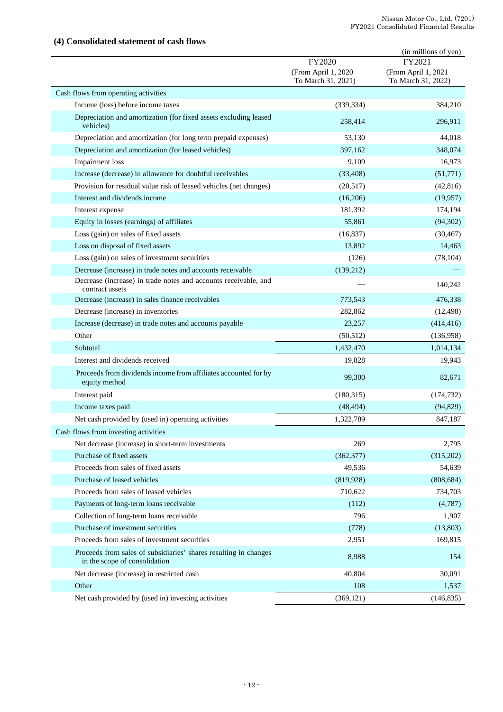# **(4) Consolidated statement of cash flows**

|                                                                                                   |                                           | (in millions of yen)                      |
|---------------------------------------------------------------------------------------------------|-------------------------------------------|-------------------------------------------|
|                                                                                                   | FY2020                                    | FY2021                                    |
|                                                                                                   | (From April 1, 2020<br>To March 31, 2021) | (From April 1, 2021<br>To March 31, 2022) |
| Cash flows from operating activities                                                              |                                           |                                           |
| Income (loss) before income taxes                                                                 | (339, 334)                                | 384,210                                   |
| Depreciation and amortization (for fixed assets excluding leased                                  |                                           |                                           |
| vehicles)                                                                                         | 258,414                                   | 296,911                                   |
| Depreciation and amortization (for long term prepaid expenses)                                    | 53,130                                    | 44,018                                    |
| Depreciation and amortization (for leased vehicles)                                               | 397,162                                   | 348,074                                   |
| Impairment loss                                                                                   | 9,109                                     | 16,973                                    |
| Increase (decrease) in allowance for doubtful receivables                                         | (33, 408)                                 | (51,771)                                  |
| Provision for residual value risk of leased vehicles (net changes)                                | (20,517)                                  | (42, 816)                                 |
| Interest and dividends income                                                                     | (16,206)                                  | (19, 957)                                 |
| Interest expense                                                                                  | 181,392                                   | 174,194                                   |
| Equity in losses (earnings) of affiliates                                                         | 55,861                                    | (94,302)                                  |
| Loss (gain) on sales of fixed assets                                                              | (16, 837)                                 | (30, 467)                                 |
| Loss on disposal of fixed assets                                                                  | 13,892                                    | 14,463                                    |
| Loss (gain) on sales of investment securities                                                     | (126)                                     | (78, 104)                                 |
| Decrease (increase) in trade notes and accounts receivable                                        | (139,212)                                 |                                           |
| Decrease (increase) in trade notes and accounts receivable, and<br>contract assets                |                                           | 140,242                                   |
| Decrease (increase) in sales finance receivables                                                  | 773,543                                   | 476,338                                   |
| Decrease (increase) in inventories                                                                | 282,862                                   | (12, 498)                                 |
| Increase (decrease) in trade notes and accounts payable                                           | 23,257                                    | (414, 416)                                |
| Other                                                                                             | (50, 512)                                 | (136,958)                                 |
| Subtotal                                                                                          | 1,432,470                                 | 1,014,134                                 |
| Interest and dividends received                                                                   | 19,828                                    | 19,943                                    |
| Proceeds from dividends income from affiliates accounted for by<br>equity method                  | 99,300                                    | 82,671                                    |
| Interest paid                                                                                     | (180, 315)                                | (174, 732)                                |
| Income taxes paid                                                                                 | (48, 494)                                 | (94, 829)                                 |
| Net cash provided by (used in) operating activities                                               | 1,322,789                                 | 847,187                                   |
| Cash flows from investing activities                                                              |                                           |                                           |
| Net decrease (increase) in short-term investments                                                 | 269                                       | 2,795                                     |
| Purchase of fixed assets                                                                          | (362, 377)                                | (315,202)                                 |
| Proceeds from sales of fixed assets                                                               | 49,536                                    | 54,639                                    |
| Purchase of leased vehicles                                                                       | (819, 928)                                | (808, 684)                                |
| Proceeds from sales of leased vehicles                                                            | 710,622                                   | 734,703                                   |
| Payments of long-term loans receivable                                                            | (112)                                     | (4,787)                                   |
| Collection of long-term loans receivable                                                          | 796                                       | 1,907                                     |
| Purchase of investment securities                                                                 | (778)                                     | (13,803)                                  |
| Proceeds from sales of investment securities                                                      | 2,951                                     | 169,815                                   |
| Proceeds from sales of subsidiaries' shares resulting in changes<br>in the scope of consolidation | 8,988                                     | 154                                       |
| Net decrease (increase) in restricted cash                                                        | 40,804                                    | 30,091                                    |
| Other                                                                                             | 108                                       | 1,537                                     |
| Net cash provided by (used in) investing activities                                               | (369, 121)                                | (146, 835)                                |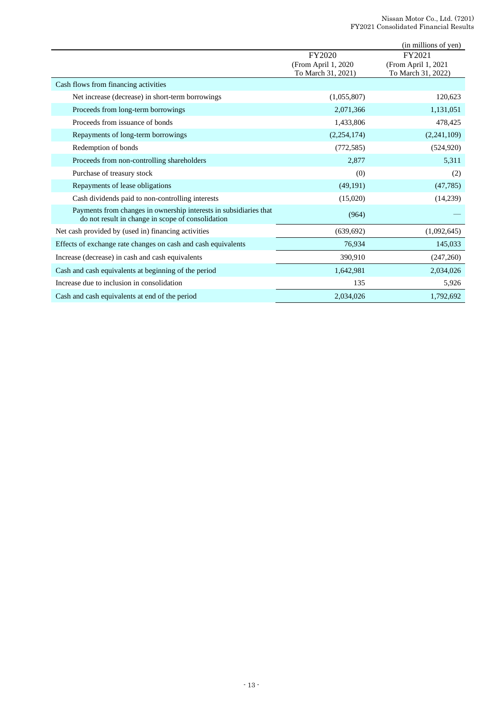|                                                                                                                        |                      | (in millions of yen) |
|------------------------------------------------------------------------------------------------------------------------|----------------------|----------------------|
|                                                                                                                        | FY2020               | FY2021               |
|                                                                                                                        | (From April 1, 2020) | (From April 1, 2021) |
|                                                                                                                        | To March 31, 2021)   | To March 31, 2022)   |
| Cash flows from financing activities                                                                                   |                      |                      |
| Net increase (decrease) in short-term borrowings                                                                       | (1,055,807)          | 120,623              |
| Proceeds from long-term borrowings                                                                                     | 2,071,366            | 1,131,051            |
| Proceeds from issuance of bonds                                                                                        | 1,433,806            | 478,425              |
| Repayments of long-term borrowings                                                                                     | (2,254,174)          | (2,241,109)          |
| Redemption of bonds                                                                                                    | (772, 585)           | (524, 920)           |
| Proceeds from non-controlling shareholders                                                                             | 2,877                | 5,311                |
| Purchase of treasury stock                                                                                             | (0)                  | (2)                  |
| Repayments of lease obligations                                                                                        | (49,191)             | (47, 785)            |
| Cash dividends paid to non-controlling interests                                                                       | (15,020)             | (14,239)             |
| Payments from changes in ownership interests in subsidiaries that<br>do not result in change in scope of consolidation | (964)                |                      |
| Net cash provided by (used in) financing activities                                                                    | (639, 692)           | (1,092,645)          |
| Effects of exchange rate changes on cash and cash equivalents                                                          | 76,934               | 145,033              |
| Increase (decrease) in cash and cash equivalents                                                                       | 390,910              | (247,260)            |
| Cash and cash equivalents at beginning of the period                                                                   | 1,642,981            | 2,034,026            |
| Increase due to inclusion in consolidation                                                                             | 135                  | 5,926                |
| Cash and cash equivalents at end of the period                                                                         | 2,034,026            | 1,792,692            |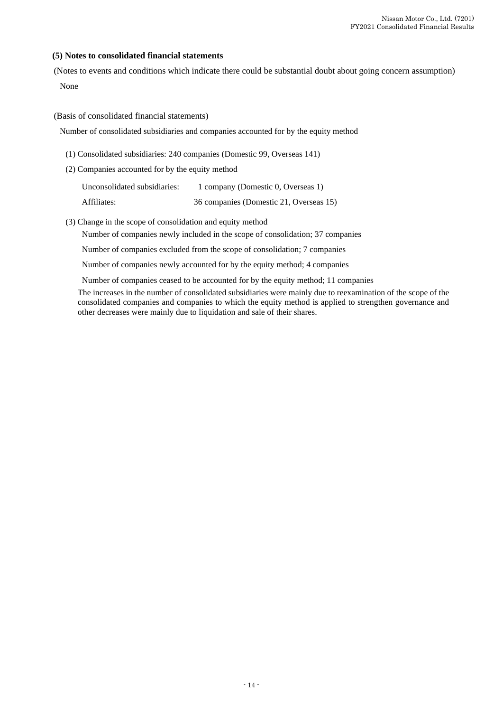### **(5) Notes to consolidated financial statements**

(Notes to events and conditions which indicate there could be substantial doubt about going concern assumption) None

(Basis of consolidated financial statements)

Number of consolidated subsidiaries and companies accounted for by the equity method

(1) Consolidated subsidiaries: 240 companies (Domestic 99, Overseas 141)

(2) Companies accounted for by the equity method

| Unconsolidated subsidiaries: | 1 company (Domestic 0, Overseas 1)      |
|------------------------------|-----------------------------------------|
| Affiliates:                  | 36 companies (Domestic 21, Overseas 15) |

(3) Change in the scope of consolidation and equity method

Number of companies newly included in the scope of consolidation; 37 companies

Number of companies excluded from the scope of consolidation; 7 companies

Number of companies newly accounted for by the equity method; 4 companies

Number of companies ceased to be accounted for by the equity method; 11 companies

The increases in the number of consolidated subsidiaries were mainly due to reexamination of the scope of the consolidated companies and companies to which the equity method is applied to strengthen governance and other decreases were mainly due to liquidation and sale of their shares.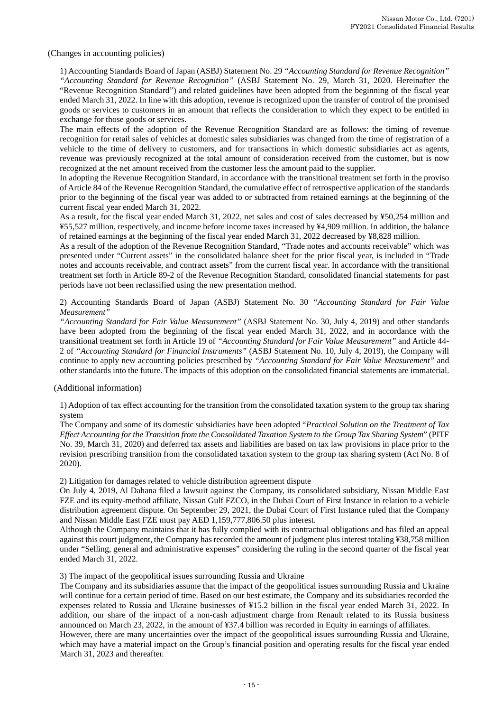#### (Changes in accounting policies)

1) Accounting Standards Board of Japan (ASBJ) Statement No. 29 *"Accounting Standard for Revenue Recognition" "Accounting Standard for Revenue Recognition"* (ASBJ Statement No. 29, March 31, 2020. Hereinafter the "Revenue Recognition Standard") and related guidelines have been adopted from the beginning of the fiscal year ended March 31, 2022. In line with this adoption, revenue is recognized upon the transfer of control of the promised goods or services to customers in an amount that reflects the consideration to which they expect to be entitled in exchange for those goods or services.

The main effects of the adoption of the Revenue Recognition Standard are as follows: the timing of revenue recognition for retail sales of vehicles at domestic sales subsidiaries was changed from the time of registration of a vehicle to the time of delivery to customers, and for transactions in which domestic subsidiaries act as agents, revenue was previously recognized at the total amount of consideration received from the customer, but is now recognized at the net amount received from the customer less the amount paid to the supplier.

In adopting the Revenue Recognition Standard, in accordance with the transitional treatment set forth in the proviso of Article 84 of the Revenue Recognition Standard, the cumulative effect of retrospective application of the standards prior to the beginning of the fiscal year was added to or subtracted from retained earnings at the beginning of the current fiscal year ended March 31, 2022.

As a result, for the fiscal year ended March 31, 2022, net sales and cost of sales decreased by ¥50,254 million and ¥55,527 million, respectively, and income before income taxes increased by ¥4,909 million. In addition, the balance of retained earnings at the beginning of the fiscal year ended March 31, 2022 decreased by ¥8,828 million.

As a result of the adoption of the Revenue Recognition Standard, "Trade notes and accounts receivable" which was presented under "Current assets" in the consolidated balance sheet for the prior fiscal year, is included in "Trade notes and accounts receivable, and contract assets" from the current fiscal year. In accordance with the transitional treatment set forth in Article 89-2 of the Revenue Recognition Standard, consolidated financial statements for past periods have not been reclassified using the new presentation method.

#### 2) Accounting Standards Board of Japan (ASBJ) Statement No. 30 *"Accounting Standard for Fair Value Measurement"*

*"Accounting Standard for Fair Value Measurement"* (ASBJ Statement No. 30, July 4, 2019) and other standards have been adopted from the beginning of the fiscal year ended March 31, 2022, and in accordance with the transitional treatment set forth in Article 19 of *"Accounting Standard for Fair Value Measurement"* and Article 44- 2 of *"Accounting Standard for Financial Instruments"* (ASBJ Statement No. 10, July 4, 2019), the Company will continue to apply new accounting policies prescribed by *"Accounting Standard for Fair Value Measurement"* and other standards into the future. The impacts of this adoption on the consolidated financial statements are immaterial.

### (Additional information)

1) Adoption of tax effect accounting for the transition from the consolidated taxation system to the group tax sharing system

The Company and some of its domestic subsidiaries have been adopted "*Practical Solution on the Treatment of Tax Effect Accounting for the Transition from the Consolidated Taxation System to the Group Tax Sharing System*" (PITF No. 39, March 31, 2020) and deferred tax assets and liabilities are based on tax law provisions in place prior to the revision prescribing transition from the consolidated taxation system to the group tax sharing system (Act No. 8 of 2020).

2) Litigation for damages related to vehicle distribution agreement dispute

On July 4, 2019, Al Dahana filed a lawsuit against the Company, its consolidated subsidiary, Nissan Middle East FZE and its equity-method affiliate, Nissan Gulf FZCO, in the Dubai Court of First Instance in relation to a vehicle distribution agreement dispute. On September 29, 2021, the Dubai Court of First Instance ruled that the Company and Nissan Middle East FZE must pay AED 1,159,777,806.50 plus interest.

Although the Company maintains that it has fully complied with its contractual obligations and has filed an appeal against this court judgment, the Company has recorded the amount of judgment plus interest totaling ¥38,758 million under "Selling, general and administrative expenses" considering the ruling in the second quarter of the fiscal year ended March 31, 2022.

#### 3) The impact of the geopolitical issues surrounding Russia and Ukraine

The Company and its subsidiaries assume that the impact of the geopolitical issues surrounding Russia and Ukraine will continue for a certain period of time. Based on our best estimate, the Company and its subsidiaries recorded the expenses related to Russia and Ukraine businesses of ¥15.2 billion in the fiscal year ended March 31, 2022. In addition, our share of the impact of a non-cash adjustment charge from Renault related to its Russia business announced on March 23, 2022, in the amount of ¥37.4 billion was recorded in Equity in earnings of affiliates.

However, there are many uncertainties over the impact of the geopolitical issues surrounding Russia and Ukraine, which may have a material impact on the Group's financial position and operating results for the fiscal year ended March 31, 2023 and thereafter.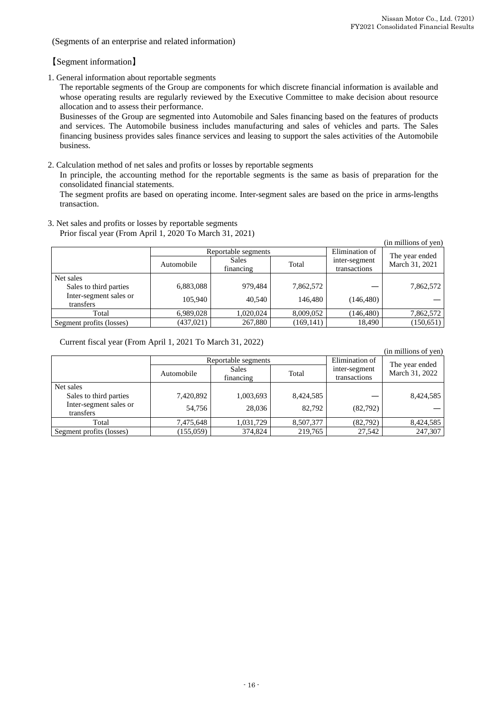(in millions of yen)

(Segments of an enterprise and related information)

## 【Segment information】

1. General information about reportable segments

The reportable segments of the Group are components for which discrete financial information is available and whose operating results are regularly reviewed by the Executive Committee to make decision about resource allocation and to assess their performance.

Businesses of the Group are segmented into Automobile and Sales financing based on the features of products and services. The Automobile business includes manufacturing and sales of vehicles and parts. The Sales financing business provides sales finance services and leasing to support the sales activities of the Automobile business.

2. Calculation method of net sales and profits or losses by reportable segments

In principle, the accounting method for the reportable segments is the same as basis of preparation for the consolidated financial statements.

The segment profits are based on operating income. Inter-segment sales are based on the price in arms-lengths transaction.

#### (in millions of yen) Reportable segments <br> Elimination of inter-segment transactions The year ended Automobile Sales Total inter-segment March 31, 2021 financing Net sales Sales to third parties  $\begin{array}{|l} 6,883,088 \end{array}$   $\begin{array}{|l} 979,484 \end{array}$   $\begin{array}{|l} 7,862,572 \end{array}$   $\begin{array}{|l} -1 \end{array}$   $\begin{array}{|l} 7,862,572 \end{array}$ Inter-segment sales or transfers 105,940  $\left| \frac{105,940}{2} \right|$  146,480  $\left| \frac{146,480}{2} \right|$  (146,480) Total 6,989,028 1,020,024 8,009,052 (146,480) 7,862,572 Segment profits (losses) (437,021) 267,880 (169,141) 18,490 (150,651)

# 3. Net sales and profits or losses by reportable segments

Prior fiscal year (From April 1, 2020 To March 31, 2021)

Current fiscal year (From April 1, 2021 To March 31, 2022)

|                                     | $\ldots$ $\ldots$ $\ldots$ $\ldots$ $\ldots$ |                |           |               |                |
|-------------------------------------|----------------------------------------------|----------------|-----------|---------------|----------------|
|                                     | Elimination of                               | The year ended |           |               |                |
|                                     | Automobile                                   | <b>Sales</b>   | Total     | inter-segment | March 31, 2022 |
|                                     |                                              | financing      |           | transactions  |                |
| Net sales                           |                                              |                |           |               |                |
| Sales to third parties              | 7,420,892                                    | 1,003,693      | 8,424,585 |               | 8,424,585      |
| Inter-segment sales or<br>transfers | 54,756                                       | 28,036         | 82,792    | (82,792)      |                |
| Total                               | 7,475,648                                    | 1,031,729      | 8,507,377 | (82,792)      | 8,424,585      |
| Segment profits (losses)            | (155,059)                                    | 374,824        | 219,765   | 27,542        | 247,307        |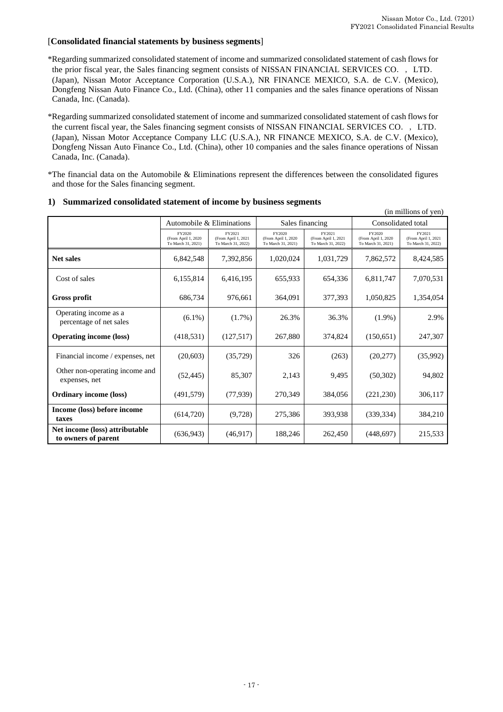### [**Consolidated financial statements by business segments**]

\*Regarding summarized consolidated statement of income and summarized consolidated statement of cash flows for the prior fiscal year, the Sales financing segment consists of NISSAN FINANCIAL SERVICES CO., LTD. (Japan), Nissan Motor Acceptance Corporation (U.S.A.), NR FINANCE MEXICO, S.A. de C.V. (Mexico), Dongfeng Nissan Auto Finance Co., Ltd. (China), other 11 companies and the sales finance operations of Nissan Canada, Inc. (Canada).

\*Regarding summarized consolidated statement of income and summarized consolidated statement of cash flows for the current fiscal year, the Sales financing segment consists of NISSAN FINANCIAL SERVICES CO., LTD. (Japan), Nissan Motor Acceptance Company LLC (U.S.A.), NR FINANCE MEXICO, S.A. de C.V. (Mexico), Dongfeng Nissan Auto Finance Co., Ltd. (China), other 10 companies and the sales finance operations of Nissan Canada, Inc. (Canada).

\*The financial data on the Automobile & Eliminations represent the differences between the consolidated figures and those for the Sales financing segment.

|                                                       |                                                      |                                                      |                                                      |                                                     |                                                      | (in millions of yen)                                |
|-------------------------------------------------------|------------------------------------------------------|------------------------------------------------------|------------------------------------------------------|-----------------------------------------------------|------------------------------------------------------|-----------------------------------------------------|
|                                                       |                                                      | Automobile & Eliminations                            |                                                      | Sales financing                                     | Consolidated total                                   |                                                     |
|                                                       | FY2020<br>(From April 1, 2020)<br>To March 31, 2021) | FY2021<br>(From April 1, 2021)<br>To March 31, 2022) | FY2020<br>(From April 1, 2020)<br>To March 31, 2021) | FY2021<br>(From April 1, 2021<br>To March 31, 2022) | FY2020<br>(From April 1, 2020)<br>To March 31, 2021) | FY2021<br>(From April 1, 2021<br>To March 31, 2022) |
| <b>Net sales</b>                                      | 6,842,548                                            | 7,392,856                                            | 1,020,024                                            | 1,031,729                                           | 7,862,572                                            | 8,424,585                                           |
| Cost of sales                                         | 6,155,814                                            | 6,416,195                                            | 655,933                                              | 654,336                                             | 6,811,747                                            | 7,070,531                                           |
| <b>Gross profit</b>                                   | 686,734                                              | 976,661                                              | 364,091                                              | 377,393                                             | 1,050,825                                            | 1,354,054                                           |
| Operating income as a<br>percentage of net sales      | $(6.1\%)$                                            | $(1.7\%)$                                            | 26.3%                                                | 36.3%                                               | $(1.9\%)$                                            | 2.9%                                                |
| <b>Operating income (loss)</b>                        | (418, 531)                                           | (127,517)                                            | 267,880                                              | 374,824                                             | (150, 651)                                           | 247,307                                             |
| Financial income / expenses, net                      | (20,603)                                             | (35,729)                                             | 326                                                  | (263)                                               | (20, 277)                                            | (35,992)                                            |
| Other non-operating income and<br>expenses, net       | (52, 445)                                            | 85,307                                               | 2,143                                                | 9,495                                               | (50, 302)                                            | 94,802                                              |
| <b>Ordinary income (loss)</b>                         | (491, 579)                                           | (77, 939)                                            | 270,349                                              | 384,056                                             | (221, 230)                                           | 306,117                                             |
| Income (loss) before income<br>taxes                  | (614, 720)                                           | (9,728)                                              | 275,386                                              | 393,938                                             | (339, 334)                                           | 384,210                                             |
| Net income (loss) attributable<br>to owners of parent | (636, 943)                                           | (46,917)                                             | 188,246                                              | 262,450                                             | (448, 697)                                           | 215,533                                             |

#### **1) Summarized consolidated statement of income by business segments**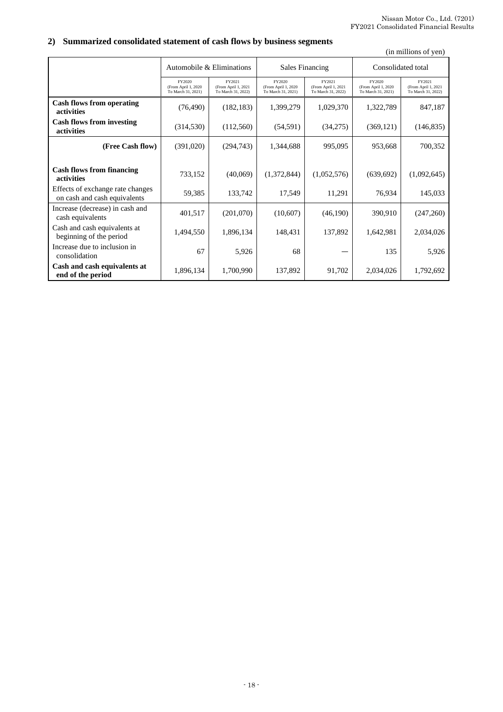# **2) Summarized consolidated statement of cash flows by business segments**

|                                                                  |                                                      |                                                     |                                                     |                                                     |                                                      | (in millions of yen)                                |  |
|------------------------------------------------------------------|------------------------------------------------------|-----------------------------------------------------|-----------------------------------------------------|-----------------------------------------------------|------------------------------------------------------|-----------------------------------------------------|--|
|                                                                  |                                                      | Automobile & Eliminations                           |                                                     | <b>Sales Financing</b>                              |                                                      | Consolidated total                                  |  |
|                                                                  | FY2020<br>(From April 1, 2020)<br>To March 31, 2021) | FY2021<br>(From April 1, 2021<br>To March 31, 2022) | FY2020<br>(From April 1, 2020<br>To March 31, 2021) | FY2021<br>(From April 1, 2021<br>To March 31, 2022) | FY2020<br>(From April 1, 2020)<br>To March 31, 2021) | FY2021<br>(From April 1, 2021<br>To March 31, 2022) |  |
| <b>Cash flows from operating</b><br>activities                   | (76, 490)                                            | (182, 183)                                          | 1,399,279                                           | 1,029,370                                           | 1,322,789                                            | 847,187                                             |  |
| <b>Cash flows from investing</b><br>activities                   | (314, 530)                                           | (112,560)                                           | (54, 591)                                           | (34,275)                                            | (369, 121)                                           | (146, 835)                                          |  |
| (Free Cash flow)                                                 | (391,020)                                            | (294, 743)                                          | 1,344,688                                           | 995,095                                             | 953,668                                              | 700,352                                             |  |
| <b>Cash flows from financing</b><br>activities                   | 733,152                                              | (40,069)                                            | (1,372,844)                                         | (1,052,576)                                         | (639, 692)                                           | (1,092,645)                                         |  |
| Effects of exchange rate changes<br>on cash and cash equivalents | 59,385                                               | 133,742                                             | 17,549                                              | 11,291                                              | 76,934                                               | 145,033                                             |  |
| Increase (decrease) in cash and<br>cash equivalents              | 401,517                                              | (201,070)                                           | (10,607)                                            | (46,190)                                            | 390,910                                              | (247,260)                                           |  |
| Cash and cash equivalents at<br>beginning of the period          | 1,494,550                                            | 1,896,134                                           | 148,431                                             | 137,892                                             | 1,642,981                                            | 2,034,026                                           |  |
| Increase due to inclusion in<br>consolidation                    | 67                                                   | 5,926                                               | 68                                                  |                                                     | 135                                                  | 5,926                                               |  |
| Cash and cash equivalents at<br>end of the period                | 1,896,134                                            | 1,700,990                                           | 137,892                                             | 91,702                                              | 2,034,026                                            | 1,792,692                                           |  |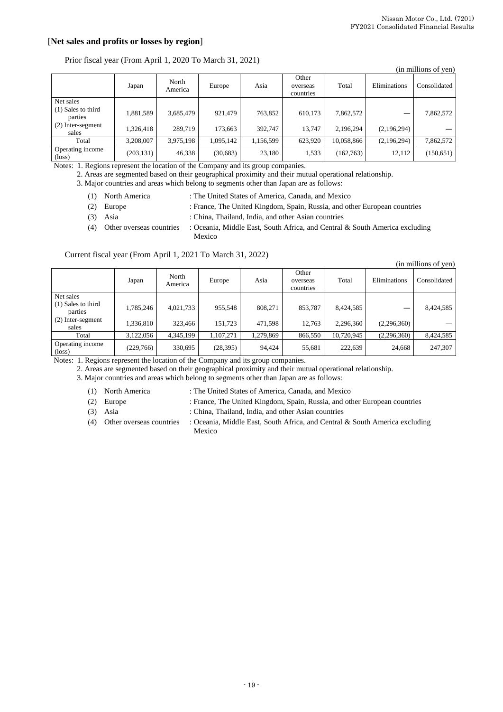### [**Net sales and profits or losses by region**]

#### Prior fiscal year (From April 1, 2020 To March 31, 2021)

| (in millions of yen)                |            |                  |           |           |                                |            |              |              |
|-------------------------------------|------------|------------------|-----------|-----------|--------------------------------|------------|--------------|--------------|
|                                     | Japan      | North<br>America | Europe    | Asia      | Other<br>overseas<br>countries | Total      | Eliminations | Consolidated |
| Net sales                           |            |                  |           |           |                                |            |              |              |
| $(1)$ Sales to third<br>parties     | 1,881,589  | 3,685,479        | 921,479   | 763,852   | 610,173                        | 7,862,572  |              | 7,862,572    |
| (2) Inter-segment<br>sales          | 1,326,418  | 289,719          | 173,663   | 392.747   | 13.747                         | 2.196.294  | (2,196,294)  |              |
| Total                               | 3,208,007  | 3,975,198        | 1,095,142 | 1,156,599 | 623,920                        | 10,058,866 | (2,196,294)  | 7,862,572    |
| Operating income<br>$(\text{loss})$ | (203, 131) | 46,338           | (30,683)  | 23,180    | 1,533                          | (162,763)  | 12,112       | (150, 651)   |

Notes: 1. Regions represent the location of the Company and its group companies.

2. Areas are segmented based on their geographical proximity and their mutual operational relationship.

3. Major countries and areas which belong to segments other than Japan are as follows:

- (1) North America : The United States of America, Canada, and Mexico
- (2) Europe : France, The United Kingdom, Spain, Russia, and other European countries
- 
- (3) Asia : China, Thailand, India, and other Asian countries
- (4) Other overseas countries : Oceania, Middle East, South Africa, and Central & South America excluding
	- Mexico

#### Current fiscal year (From April 1, 2021 To March 31, 2022)

|                                     |           |                  |           |           |                                |            |              | (in millions of yen) |
|-------------------------------------|-----------|------------------|-----------|-----------|--------------------------------|------------|--------------|----------------------|
|                                     | Japan     | North<br>America | Europe    | Asia      | Other<br>overseas<br>countries | Total      | Eliminations | Consolidated         |
| Net sales                           |           |                  |           |           |                                |            |              |                      |
| $(1)$ Sales to third<br>parties     | 1,785,246 | 4,021,733        | 955,548   | 808,271   | 853,787                        | 8,424,585  |              | 8,424,585            |
| (2) Inter-segment<br>sales          | 1,336,810 | 323,466          | 151,723   | 471,598   | 12,763                         | 2,296,360  | (2,296,360)  |                      |
| Total                               | 3,122,056 | 4,345,199        | 1,107,271 | 1,279,869 | 866,550                        | 10,720,945 | (2,296,360)  | 8,424,585            |
| Operating income<br>$(\text{loss})$ | (229,766) | 330,695          | (28, 395) | 94,424    | 55,681                         | 222,639    | 24,668       | 247,307              |

Notes: 1. Regions represent the location of the Company and its group companies.

2. Areas are segmented based on their geographical proximity and their mutual operational relationship.

3. Major countries and areas which belong to segments other than Japan are as follows:

(1) North America : The United States of America, Canada, and Mexico

- (2) Europe : France, The United Kingdom, Spain, Russia, and other European countries
- 
- (3) Asia : China, Thailand, India, and other Asian countries
- (4) Other overseas countries : Oceania, Middle East, South Africa, and Central & South America excluding Mexico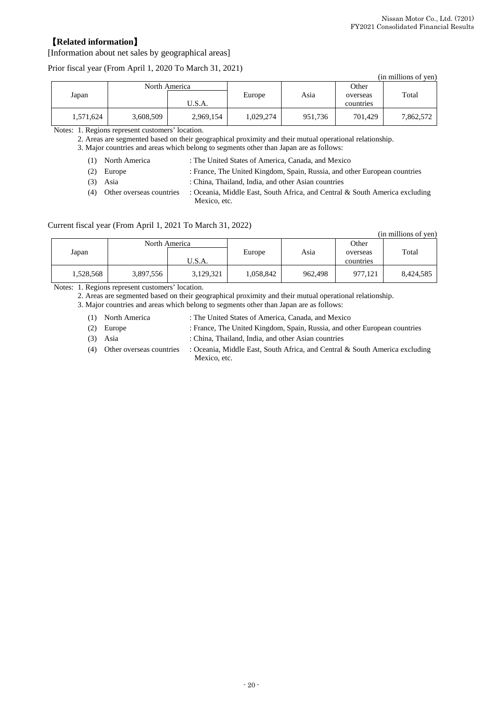# 【**Related information**】

### [Information about net sales by geographical areas]

#### Prior fiscal year (From April 1, 2020 To March 31, 2021)

|           |           |               |           |         |                   | (in millions of yen) |
|-----------|-----------|---------------|-----------|---------|-------------------|----------------------|
| Japan     |           | North America | Europe    | Asia    | Other<br>overseas | Total                |
|           |           | U.S.A.        |           |         | countries         |                      |
| 1,571,624 | 3,608,509 | 2,969,154     | 1,029,274 | 951,736 | 701,429           | 7,862,572            |

Notes: 1. Regions represent customers' location.

2. Areas are segmented based on their geographical proximity and their mutual operational relationship.

3. Major countries and areas which belong to segments other than Japan are as follows:

| (1) North America | : The United States of America, Canada, and Mexico                        |
|-------------------|---------------------------------------------------------------------------|
| $(2)$ Europe      | : France, The United Kingdom, Spain, Russia, and other European countries |

- (3) Asia : China, Thailand, India, and other Asian countries
- (4) Other overseas countries : Oceania, Middle East, South Africa, and Central & South America excluding Mexico, etc.

#### Current fiscal year (From April 1, 2021 To March 31, 2022)

(in millions of yen)

| Japan     |           | North America<br>U.S.A. | Europe   | Asia    | Other<br>overseas<br>countries | Total     |
|-----------|-----------|-------------------------|----------|---------|--------------------------------|-----------|
| 1,528,568 | 3,897,556 | 3,129,321               | .058,842 | 962,498 | 977,121                        | 8,424,585 |

Notes: 1. Regions represent customers' location.

2. Areas are segmented based on their geographical proximity and their mutual operational relationship.

3. Major countries and areas which belong to segments other than Japan are as follows:

- (1) North America : The United States of America, Canada, and Mexico
- (2) Europe : France, The United Kingdom, Spain, Russia, and other European countries
- (3) Asia : China, Thailand, India, and other Asian countries
- (4) Other overseas countries : Oceania, Middle East, South Africa, and Central & South America excluding Mexico, etc.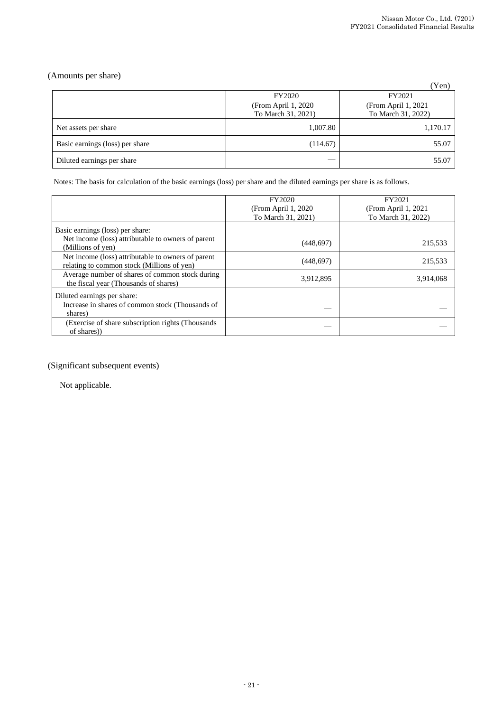# (Amounts per share)

| $1 \text{ m}$ cand $\rho$ of $\theta$ share $\rho$ |                                            | (Yen)                                      |
|----------------------------------------------------|--------------------------------------------|--------------------------------------------|
|                                                    | FY2020                                     | FY2021                                     |
|                                                    | (From April 1, 2020)<br>To March 31, 2021) | (From April 1, 2021)<br>To March 31, 2022) |
| Net assets per share                               | 1,007.80                                   | 1,170.17                                   |
| Basic earnings (loss) per share                    | (114.67)                                   | 55.07                                      |
| Diluted earnings per share                         |                                            | 55.07                                      |

Notes: The basis for calculation of the basic earnings (loss) per share and the diluted earnings per share is as follows.

|                                                                                                  | FY2020                                     | FY2021                                     |
|--------------------------------------------------------------------------------------------------|--------------------------------------------|--------------------------------------------|
|                                                                                                  | (From April 1, 2020)<br>To March 31, 2021) | (From April 1, 2021)<br>To March 31, 2022) |
| Basic earnings (loss) per share:                                                                 |                                            |                                            |
| Net income (loss) attributable to owners of parent<br>(Millions of yen)                          | (448,697)                                  | 215,533                                    |
| Net income (loss) attributable to owners of parent<br>relating to common stock (Millions of yen) | (448,697)                                  | 215.533                                    |
| Average number of shares of common stock during<br>the fiscal year (Thousands of shares)         | 3,912,895                                  | 3,914,068                                  |
| Diluted earnings per share:                                                                      |                                            |                                            |
| Increase in shares of common stock (Thousands of<br>shares)                                      |                                            |                                            |
| (Exercise of share subscription rights (Thousands)<br>of shares)                                 |                                            |                                            |

# (Significant subsequent events)

Not applicable.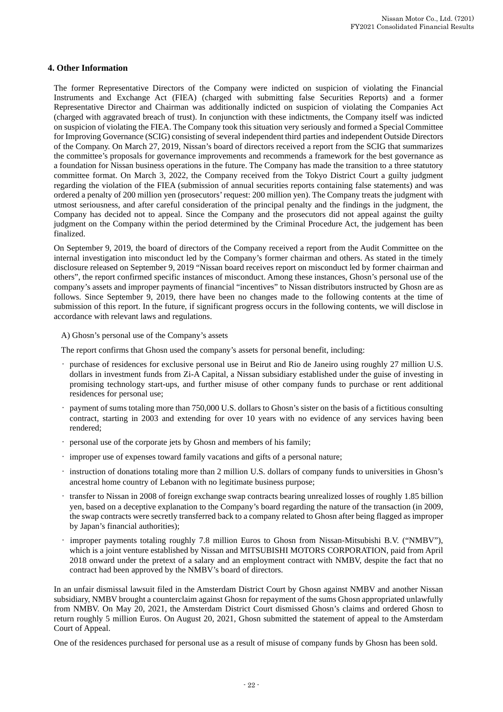#### **4. Other Information**

The former Representative Directors of the Company were indicted on suspicion of violating the Financial Instruments and Exchange Act (FIEA) (charged with submitting false Securities Reports) and a former Representative Director and Chairman was additionally indicted on suspicion of violating the Companies Act (charged with aggravated breach of trust). In conjunction with these indictments, the Company itself was indicted on suspicion of violating the FIEA. The Company took this situation very seriously and formed a Special Committee for Improving Governance (SCIG) consisting of several independent third parties and independent Outside Directors of the Company. On March 27, 2019, Nissan's board of directors received a report from the SCIG that summarizes the committee's proposals for governance improvements and recommends a framework for the best governance as a foundation for Nissan business operations in the future. The Company has made the transition to a three statutory committee format. On March 3, 2022, the Company received from the Tokyo District Court a guilty judgment regarding the violation of the FIEA (submission of annual securities reports containing false statements) and was ordered a penalty of 200 million yen (prosecutors' request: 200 million yen). The Company treats the judgment with utmost seriousness, and after careful consideration of the principal penalty and the findings in the judgment, the Company has decided not to appeal. Since the Company and the prosecutors did not appeal against the guilty judgment on the Company within the period determined by the Criminal Procedure Act, the judgement has been finalized.

On September 9, 2019, the board of directors of the Company received a report from the Audit Committee on the internal investigation into misconduct led by the Company's former chairman and others. As stated in the timely disclosure released on September 9, 2019 "Nissan board receives report on misconduct led by former chairman and others", the report confirmed specific instances of misconduct. Among these instances, Ghosn's personal use of the company's assets and improper payments of financial "incentives" to Nissan distributors instructed by Ghosn are as follows. Since September 9, 2019, there have been no changes made to the following contents at the time of submission of this report. In the future, if significant progress occurs in the following contents, we will disclose in accordance with relevant laws and regulations.

#### A) Ghosn's personal use of the Company's assets

The report confirms that Ghosn used the company's assets for personal benefit, including:

- purchase of residences for exclusive personal use in Beirut and Rio de Janeiro using roughly 27 million U.S. dollars in investment funds from Zi-A Capital, a Nissan subsidiary established under the guise of investing in promising technology start-ups, and further misuse of other company funds to purchase or rent additional residences for personal use;
- payment of sums totaling more than 750,000 U.S. dollars to Ghosn's sister on the basis of a fictitious consulting contract, starting in 2003 and extending for over 10 years with no evidence of any services having been rendered;
- personal use of the corporate jets by Ghosn and members of his family;
- improper use of expenses toward family vacations and gifts of a personal nature;
- instruction of donations totaling more than 2 million U.S. dollars of company funds to universities in Ghosn's ancestral home country of Lebanon with no legitimate business purpose;
- transfer to Nissan in 2008 of foreign exchange swap contracts bearing unrealized losses of roughly 1.85 billion yen, based on a deceptive explanation to the Company's board regarding the nature of the transaction (in 2009, the swap contracts were secretly transferred back to a company related to Ghosn after being flagged as improper by Japan's financial authorities);
- improper payments totaling roughly 7.8 million Euros to Ghosn from Nissan-Mitsubishi B.V. ("NMBV"), which is a joint venture established by Nissan and MITSUBISHI MOTORS CORPORATION, paid from April 2018 onward under the pretext of a salary and an employment contract with NMBV, despite the fact that no contract had been approved by the NMBV's board of directors.

In an unfair dismissal lawsuit filed in the Amsterdam District Court by Ghosn against NMBV and another Nissan subsidiary, NMBV brought a counterclaim against Ghosn for repayment of the sums Ghosn appropriated unlawfully from NMBV. On May 20, 2021, the Amsterdam District Court dismissed Ghosn's claims and ordered Ghosn to return roughly 5 million Euros. On August 20, 2021, Ghosn submitted the statement of appeal to the Amsterdam Court of Appeal.

One of the residences purchased for personal use as a result of misuse of company funds by Ghosn has been sold.